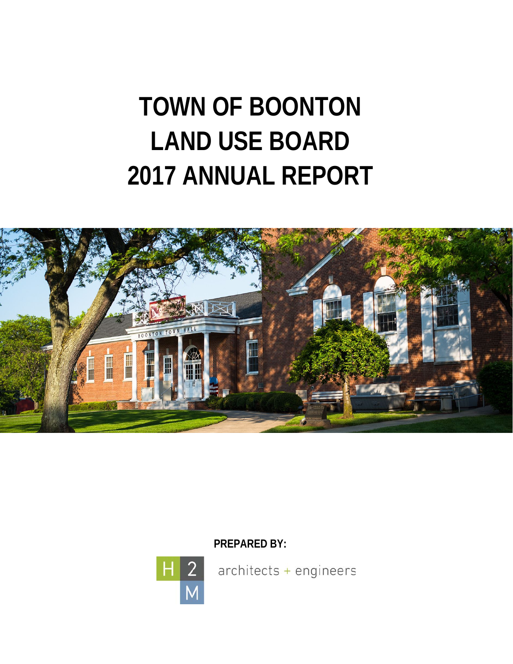# **TOWN OF BOONTON LAND USE BOARD 2017 ANNUAL REPORT**



**PREPARED BY:**



architects + engineers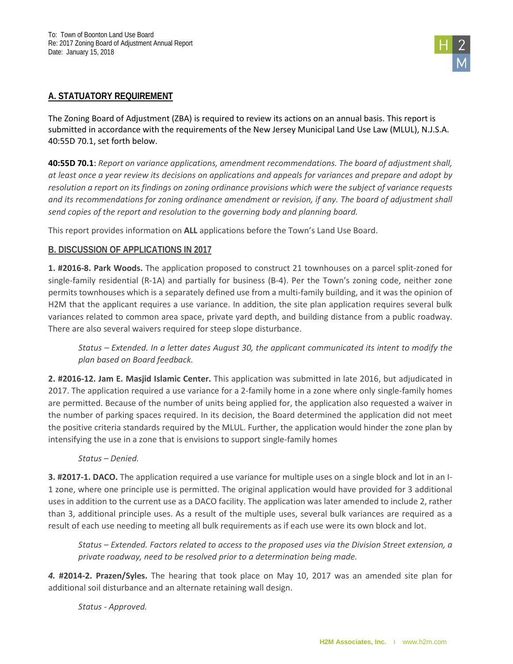## **A. STATUATORY REQUIREMENT**

The Zoning Board of Adjustment (ZBA) is required to review its actions on an annual basis. This report is submitted in accordance with the requirements of the New Jersey Municipal Land Use Law (MLUL), N.J.S.A. 40:55D 70.1, set forth below.

**40:55D 70.1**: *Report on variance applications, amendment recommendations. The board of adjustment shall, at least once a year review its decisions on applications and appeals for variances and prepare and adopt by resolution a report on its findings on zoning ordinance provisions which were the subject of variance requests and its recommendations for zoning ordinance amendment or revision, if any. The board of adjustment shall send copies of the report and resolution to the governing body and planning board.*

This report provides information on **ALL** applications before the Town's Land Use Board.

## **B. DISCUSSION OF APPLICATIONS IN 2017**

**1. #2016-8. Park Woods.** The application proposed to construct 21 townhouses on a parcel split-zoned for single-family residential (R-1A) and partially for business (B-4). Per the Town's zoning code, neither zone permits townhouses which is a separately defined use from a multi-family building, and it was the opinion of H2M that the applicant requires a use variance. In addition, the site plan application requires several bulk variances related to common area space, private yard depth, and building distance from a public roadway. There are also several waivers required for steep slope disturbance.

*Status – Extended. In a letter dates August 30, the applicant communicated its intent to modify the plan based on Board feedback.* 

**2. #2016-12. Jam E. Masjid Islamic Center.** This application was submitted in late 2016, but adjudicated in 2017. The application required a use variance for a 2-family home in a zone where only single-family homes are permitted. Because of the number of units being applied for, the application also requested a waiver in the number of parking spaces required. In its decision, the Board determined the application did not meet the positive criteria standards required by the MLUL. Further, the application would hinder the zone plan by intensifying the use in a zone that is envisions to support single-family homes

#### *Status – Denied.*

**3. #2017-1. DACO.** The application required a use variance for multiple uses on a single block and lot in an I-1 zone, where one principle use is permitted. The original application would have provided for 3 additional uses in addition to the current use as a DACO facility. The application was later amended to include 2, rather than 3, additional principle uses. As a result of the multiple uses, several bulk variances are required as a result of each use needing to meeting all bulk requirements as if each use were its own block and lot.

*Status – Extended. Factors related to access to the proposed uses via the Division Street extension, a private roadway, need to be resolved prior to a determination being made.*

*4.* **#2014-2. Prazen/Syles.** The hearing that took place on May 10, 2017 was an amended site plan for additional soil disturbance and an alternate retaining wall design.

*Status - Approved.*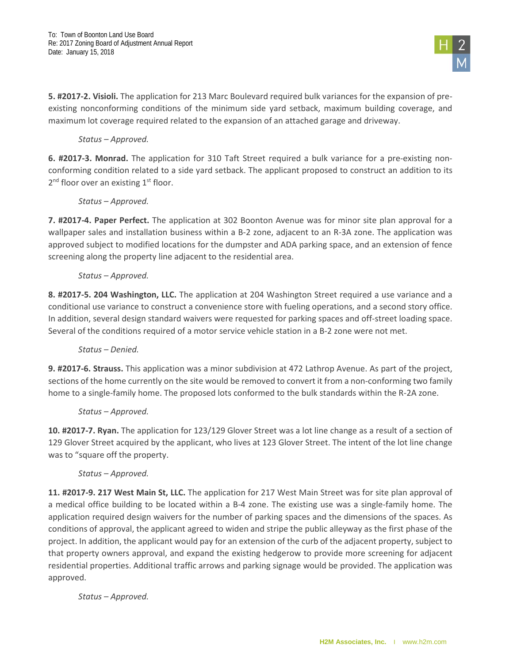

**5. #2017-2. Visioli.** The application for 213 Marc Boulevard required bulk variances for the expansion of preexisting nonconforming conditions of the minimum side yard setback, maximum building coverage, and maximum lot coverage required related to the expansion of an attached garage and driveway.

### *Status – Approved.*

**6. #2017-3. Monrad.** The application for 310 Taft Street required a bulk variance for a pre-existing nonconforming condition related to a side yard setback. The applicant proposed to construct an addition to its  $2<sup>nd</sup>$  floor over an existing  $1<sup>st</sup>$  floor.

*Status – Approved.*

**7. #2017-4. Paper Perfect.** The application at 302 Boonton Avenue was for minor site plan approval for a wallpaper sales and installation business within a B-2 zone, adjacent to an R-3A zone. The application was approved subject to modified locations for the dumpster and ADA parking space, and an extension of fence screening along the property line adjacent to the residential area.

#### *Status – Approved.*

**8. #2017-5. 204 Washington, LLC.** The application at 204 Washington Street required a use variance and a conditional use variance to construct a convenience store with fueling operations, and a second story office. In addition, several design standard waivers were requested for parking spaces and off-street loading space. Several of the conditions required of a motor service vehicle station in a B-2 zone were not met.

#### *Status – Denied.*

**9. #2017-6. Strauss.** This application was a minor subdivision at 472 Lathrop Avenue. As part of the project, sections of the home currently on the site would be removed to convert it from a non-conforming two family home to a single-family home. The proposed lots conformed to the bulk standards within the R-2A zone.

## *Status – Approved.*

**10. #2017-7. Ryan.** The application for 123/129 Glover Street was a lot line change as a result of a section of 129 Glover Street acquired by the applicant, who lives at 123 Glover Street. The intent of the lot line change was to "square off the property.

## *Status – Approved.*

**11. #2017-9. 217 West Main St, LLC.** The application for 217 West Main Street was for site plan approval of a medical office building to be located within a B-4 zone. The existing use was a single-family home. The application required design waivers for the number of parking spaces and the dimensions of the spaces. As conditions of approval, the applicant agreed to widen and stripe the public alleyway as the first phase of the project. In addition, the applicant would pay for an extension of the curb of the adjacent property, subject to that property owners approval, and expand the existing hedgerow to provide more screening for adjacent residential properties. Additional traffic arrows and parking signage would be provided. The application was approved.

*Status – Approved.*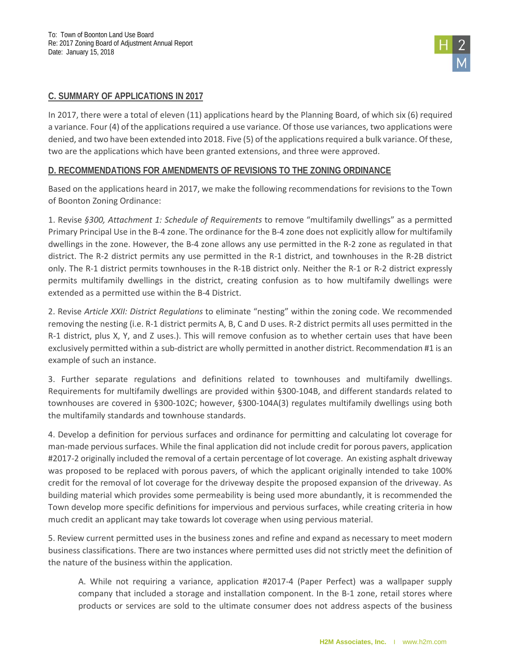## **C. SUMMARY OF APPLICATIONS IN 2017**

In 2017, there were a total of eleven (11) applications heard by the Planning Board, of which six (6) required a variance. Four (4) of the applications required a use variance. Of those use variances, two applications were denied, and two have been extended into 2018. Five (5) of the applications required a bulk variance. Of these, two are the applications which have been granted extensions, and three were approved.

## **D. RECOMMENDATIONS FOR AMENDMENTS OF REVISIONS TO THE ZONING ORDINANCE**

Based on the applications heard in 2017, we make the following recommendations for revisions to the Town of Boonton Zoning Ordinance:

1. Revise *§300, Attachment 1: Schedule of Requirements* to remove "multifamily dwellings" as a permitted Primary Principal Use in the B-4 zone. The ordinance for the B-4 zone does not explicitly allow for multifamily dwellings in the zone. However, the B-4 zone allows any use permitted in the R-2 zone as regulated in that district. The R-2 district permits any use permitted in the R-1 district, and townhouses in the R-2B district only. The R-1 district permits townhouses in the R-1B district only. Neither the R-1 or R-2 district expressly permits multifamily dwellings in the district, creating confusion as to how multifamily dwellings were extended as a permitted use within the B-4 District.

2. Revise *Article XXII: District Regulations* to eliminate "nesting" within the zoning code. We recommended removing the nesting (i.e. R-1 district permits A, B, C and D uses. R-2 district permits all uses permitted in the R-1 district, plus X, Y, and Z uses.). This will remove confusion as to whether certain uses that have been exclusively permitted within a sub-district are wholly permitted in another district. Recommendation #1 is an example of such an instance.

3. Further separate regulations and definitions related to townhouses and multifamily dwellings. Requirements for multifamily dwellings are provided within §300-104B, and different standards related to townhouses are covered in §300-102C; however, §300-104A(3) regulates multifamily dwellings using both the multifamily standards and townhouse standards.

4. Develop a definition for pervious surfaces and ordinance for permitting and calculating lot coverage for man-made pervious surfaces. While the final application did not include credit for porous pavers, application #2017-2 originally included the removal of a certain percentage of lot coverage. An existing asphalt driveway was proposed to be replaced with porous pavers, of which the applicant originally intended to take 100% credit for the removal of lot coverage for the driveway despite the proposed expansion of the driveway. As building material which provides some permeability is being used more abundantly, it is recommended the Town develop more specific definitions for impervious and pervious surfaces, while creating criteria in how much credit an applicant may take towards lot coverage when using pervious material.

5. Review current permitted uses in the business zones and refine and expand as necessary to meet modern business classifications. There are two instances where permitted uses did not strictly meet the definition of the nature of the business within the application.

A. While not requiring a variance, application #2017-4 (Paper Perfect) was a wallpaper supply company that included a storage and installation component. In the B-1 zone, retail stores where products or services are sold to the ultimate consumer does not address aspects of the business